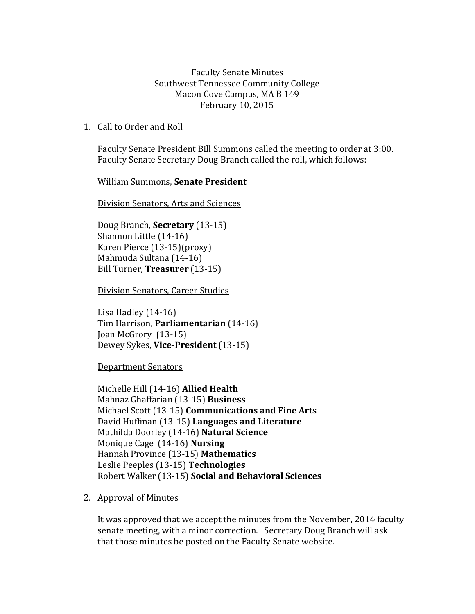Faculty Senate Minutes Southwest Tennessee Community College Macon Cove Campus, MA B 149 February 10, 2015

1. Call to Order and Roll

Faculty Senate President Bill Summons called the meeting to order at 3:00. Faculty Senate Secretary Doug Branch called the roll, which follows:

William Summons, **Senate President**

Division Senators, Arts and Sciences

Doug Branch, **Secretary** (13-15) Shannon Little (14-16) Karen Pierce (13-15)(proxy) Mahmuda Sultana (14-16) Bill Turner, **Treasurer** (13-15)

Division Senators, Career Studies

Lisa Hadley (14-16) Tim Harrison, **Parliamentarian** (14-16) Joan McGrory (13-15) Dewey Sykes, **Vice-President** (13-15)

Department Senators

Michelle Hill (14-16) **Allied Health** Mahnaz Ghaffarian (13-15) **Business** Michael Scott (13-15) **Communications and Fine Arts** David Huffman (13-15) **Languages and Literature** Mathilda Doorley (14-16) **Natural Science** Monique Cage (14-16) **Nursing** Hannah Province (13-15) **Mathematics** Leslie Peeples (13-15) **Technologies**  Robert Walker (13-15) **Social and Behavioral Sciences**

2. Approval of Minutes

It was approved that we accept the minutes from the November, 2014 faculty senate meeting, with a minor correction. Secretary Doug Branch will ask that those minutes be posted on the Faculty Senate website.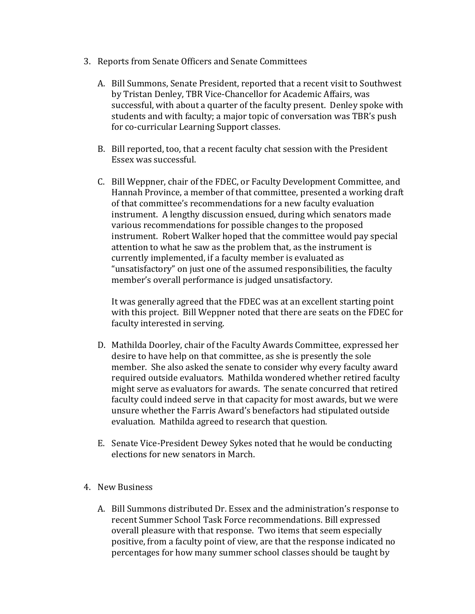- 3. Reports from Senate Officers and Senate Committees
	- A. Bill Summons, Senate President, reported that a recent visit to Southwest by Tristan Denley, TBR Vice-Chancellor for Academic Affairs, was successful, with about a quarter of the faculty present. Denley spoke with students and with faculty; a major topic of conversation was TBR's push for co-curricular Learning Support classes.
	- B. Bill reported, too, that a recent faculty chat session with the President Essex was successful.
	- C. Bill Weppner, chair of the FDEC, or Faculty Development Committee, and Hannah Province, a member of that committee, presented a working draft of that committee's recommendations for a new faculty evaluation instrument. A lengthy discussion ensued, during which senators made various recommendations for possible changes to the proposed instrument. Robert Walker hoped that the committee would pay special attention to what he saw as the problem that, as the instrument is currently implemented, if a faculty member is evaluated as "unsatisfactory" on just one of the assumed responsibilities, the faculty member's overall performance is judged unsatisfactory.

It was generally agreed that the FDEC was at an excellent starting point with this project. Bill Weppner noted that there are seats on the FDEC for faculty interested in serving.

- D. Mathilda Doorley, chair of the Faculty Awards Committee, expressed her desire to have help on that committee, as she is presently the sole member. She also asked the senate to consider why every faculty award required outside evaluators. Mathilda wondered whether retired faculty might serve as evaluators for awards. The senate concurred that retired faculty could indeed serve in that capacity for most awards, but we were unsure whether the Farris Award's benefactors had stipulated outside evaluation. Mathilda agreed to research that question.
- E. Senate Vice-President Dewey Sykes noted that he would be conducting elections for new senators in March.
- 4. New Business
	- A. Bill Summons distributed Dr. Essex and the administration's response to recent Summer School Task Force recommendations. Bill expressed overall pleasure with that response. Two items that seem especially positive, from a faculty point of view, are that the response indicated no percentages for how many summer school classes should be taught by